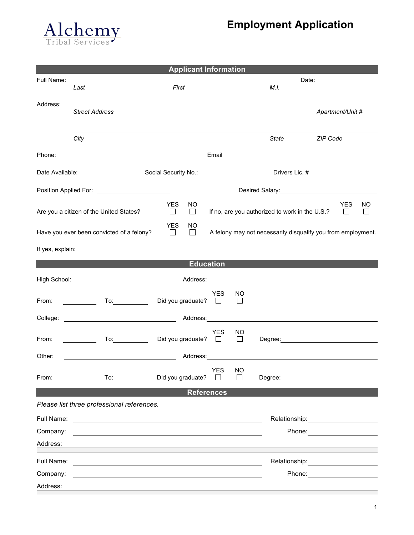

## **Employment Application**

|                                                                                                                              |                                                                                                                                                                                                                                      | <b>Applicant Information</b>    |                                           |                                      |                                                                                                                                                                                                                                |                                                                                                                                                                                                                                |                  |    |  |
|------------------------------------------------------------------------------------------------------------------------------|--------------------------------------------------------------------------------------------------------------------------------------------------------------------------------------------------------------------------------------|---------------------------------|-------------------------------------------|--------------------------------------|--------------------------------------------------------------------------------------------------------------------------------------------------------------------------------------------------------------------------------|--------------------------------------------------------------------------------------------------------------------------------------------------------------------------------------------------------------------------------|------------------|----|--|
| Full Name:                                                                                                                   |                                                                                                                                                                                                                                      |                                 |                                           |                                      |                                                                                                                                                                                                                                |                                                                                                                                                                                                                                |                  |    |  |
|                                                                                                                              | Last                                                                                                                                                                                                                                 | First                           |                                           |                                      | M.I.                                                                                                                                                                                                                           |                                                                                                                                                                                                                                |                  |    |  |
| Address:                                                                                                                     | <b>Street Address</b>                                                                                                                                                                                                                |                                 |                                           |                                      |                                                                                                                                                                                                                                |                                                                                                                                                                                                                                | Apartment/Unit # |    |  |
|                                                                                                                              | City                                                                                                                                                                                                                                 |                                 |                                           |                                      | State                                                                                                                                                                                                                          | ZIP Code                                                                                                                                                                                                                       |                  |    |  |
| Phone:                                                                                                                       |                                                                                                                                                                                                                                      |                                 |                                           |                                      | Email and the contract of the contract of the contract of the contract of the contract of the contract of the                                                                                                                  |                                                                                                                                                                                                                                |                  |    |  |
|                                                                                                                              | Date Available: _______________                                                                                                                                                                                                      | Social Security No.: 2008       |                                           |                                      |                                                                                                                                                                                                                                |                                                                                                                                                                                                                                |                  |    |  |
|                                                                                                                              | Position Applied For: _________________________                                                                                                                                                                                      |                                 | Desired Salary:<br><u>Desired Salary:</u> |                                      |                                                                                                                                                                                                                                |                                                                                                                                                                                                                                |                  |    |  |
|                                                                                                                              | Are you a citizen of the United States?                                                                                                                                                                                              | <b>YES</b><br>NO<br>□<br>$\Box$ |                                           |                                      | If no, are you authorized to work in the U.S.?                                                                                                                                                                                 |                                                                                                                                                                                                                                | <b>YES</b><br>⊔  | ΝO |  |
|                                                                                                                              | Have you ever been convicted of a felony?                                                                                                                                                                                            | <b>YES</b><br>NO<br>$\Box$<br>□ |                                           |                                      | A felony may not necessarily disqualify you from employment.                                                                                                                                                                   |                                                                                                                                                                                                                                |                  |    |  |
|                                                                                                                              | If yes, explain: <u>example and the contract of the set of the set of the set of the set of the set of the set of the set of the set of the set of the set of the set of the set of the set of the set of the set of the set of </u> |                                 |                                           |                                      |                                                                                                                                                                                                                                |                                                                                                                                                                                                                                |                  |    |  |
|                                                                                                                              |                                                                                                                                                                                                                                      |                                 | <b>Education</b>                          |                                      |                                                                                                                                                                                                                                |                                                                                                                                                                                                                                |                  |    |  |
| High School:                                                                                                                 |                                                                                                                                                                                                                                      |                                 |                                           |                                      |                                                                                                                                                                                                                                |                                                                                                                                                                                                                                |                  |    |  |
| From:                                                                                                                        | To: the contract of the contract of the contract of the contract of the contract of the contract of the contract of the contract of the contract of the contract of the contract of the contract of the contract of the contra       | Did you graduate?               | <b>YES</b><br>$\pm 1$                     | NO<br>$\Box$                         |                                                                                                                                                                                                                                |                                                                                                                                                                                                                                |                  |    |  |
| College:                                                                                                                     | <u> 1990 - John Stone, marian amerikan personal (</u>                                                                                                                                                                                | Address:                        |                                           |                                      |                                                                                                                                                                                                                                |                                                                                                                                                                                                                                |                  |    |  |
| From:                                                                                                                        | To: and the state of the state of the state of the state of the state of the state of the state of the state o<br>$\mathcal{L} = \mathcal{L}$                                                                                        | Did you graduate? $\Box$        | <b>YES</b>                                | NO<br>$\Box$                         | Degree: National Contract of the Contract of the Contract of the Contract of the Contract of the Contract of the Contract of the Contract of the Contract of the Contract of the Contract of the Contract of the Contract of t |                                                                                                                                                                                                                                |                  |    |  |
| Other:                                                                                                                       | <u> 1989 - Johann Barbara, martin a</u>                                                                                                                                                                                              | Address:                        |                                           |                                      |                                                                                                                                                                                                                                |                                                                                                                                                                                                                                |                  |    |  |
| From:                                                                                                                        | $\overline{10}$ :                                                                                                                                                                                                                    | Did you graduate?               | <b>YES</b>                                | <b>NO</b><br>$\mathbf{I}$            | Degree: the contract of the contract of the contract of the contract of the contract of the contract of the contract of the contract of the contract of the contract of the contract of the contract of the contract of the co |                                                                                                                                                                                                                                |                  |    |  |
|                                                                                                                              |                                                                                                                                                                                                                                      |                                 | <b>References</b>                         |                                      |                                                                                                                                                                                                                                |                                                                                                                                                                                                                                |                  |    |  |
|                                                                                                                              | Please list three professional references.                                                                                                                                                                                           |                                 |                                           |                                      |                                                                                                                                                                                                                                |                                                                                                                                                                                                                                |                  |    |  |
| Full Name:                                                                                                                   | <u> Alexandria de la contrada de la contrada de la contrada de la contrada de la contrada de la contrada de la c</u>                                                                                                                 |                                 |                                           |                                      |                                                                                                                                                                                                                                |                                                                                                                                                                                                                                |                  |    |  |
| Company:<br>and the control of the control of the control of the control of the control of the control of the control of the |                                                                                                                                                                                                                                      |                                 |                                           | Phone: <u>______________________</u> |                                                                                                                                                                                                                                |                                                                                                                                                                                                                                |                  |    |  |
| Address:                                                                                                                     |                                                                                                                                                                                                                                      |                                 |                                           |                                      |                                                                                                                                                                                                                                |                                                                                                                                                                                                                                |                  |    |  |
| Full Name:                                                                                                                   | <u> 1989 - Johann Stein, mars an deutscher Stein und der Stein und der Stein und der Stein und der Stein und der</u>                                                                                                                 |                                 |                                           |                                      |                                                                                                                                                                                                                                | Relationship: example and the set of the set of the set of the set of the set of the set of the set of the set of the set of the set of the set of the set of the set of the set of the set of the set of the set of the set o |                  |    |  |
| Company:                                                                                                                     |                                                                                                                                                                                                                                      |                                 |                                           |                                      |                                                                                                                                                                                                                                | Phone: <u>_______________</u>                                                                                                                                                                                                  |                  |    |  |
| Address:                                                                                                                     |                                                                                                                                                                                                                                      |                                 |                                           |                                      |                                                                                                                                                                                                                                |                                                                                                                                                                                                                                |                  |    |  |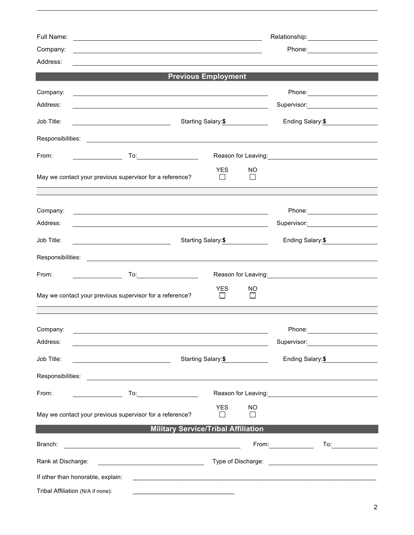| Full Name:<br>Company:<br>Address: | <u> 1989 - Johann Stoff, amerikansk politiker (d. 1989)</u>                                                                                                                                                                                     |                     |                      |                                                                                                                       |  |  |  |  |  |  |
|------------------------------------|-------------------------------------------------------------------------------------------------------------------------------------------------------------------------------------------------------------------------------------------------|---------------------|----------------------|-----------------------------------------------------------------------------------------------------------------------|--|--|--|--|--|--|
| <b>Previous Employment</b>         |                                                                                                                                                                                                                                                 |                     |                      |                                                                                                                       |  |  |  |  |  |  |
| Company:<br>Address:               | <u> 1989 - Johann Stoff, deutscher Stoff, der Stoff, der Stoff, der Stoff, der Stoff, der Stoff, der Stoff, der S</u><br><u> 1989 - Johann Stoff, deutscher Stoffen und der Stoffen und der Stoffen und der Stoffen und der Stoffen und der</u> |                     |                      |                                                                                                                       |  |  |  |  |  |  |
| Job Title:                         | Starting Salary: \$<br><u> 1989 - Johann Barnett, fransk politiker (</u>                                                                                                                                                                        | Ending Salary: \$   |                      |                                                                                                                       |  |  |  |  |  |  |
|                                    |                                                                                                                                                                                                                                                 |                     |                      |                                                                                                                       |  |  |  |  |  |  |
| From:                              |                                                                                                                                                                                                                                                 |                     |                      | Reason for Leaving:<br><u>Example 2008</u>                                                                            |  |  |  |  |  |  |
|                                    | May we contact your previous supervisor for a reference?                                                                                                                                                                                        | <b>YES</b>          | <b>NO</b><br>$\perp$ |                                                                                                                       |  |  |  |  |  |  |
| Company:<br>Address:               | <u> 1980 - Johann Stoff, deutscher Stoffen und der Stoffen und der Stoffen und der Stoffen und der Stoffen und der</u><br><u> 1989 - Johann Stoff, deutscher Stoff, der Stoff, der Stoff, der Stoff, der Stoff, der Stoff, der Stoff, der S</u> |                     |                      | Supervisor: 2000                                                                                                      |  |  |  |  |  |  |
| Job Title:                         |                                                                                                                                                                                                                                                 | Starting Salary: \$ | Ending Salary: \$    |                                                                                                                       |  |  |  |  |  |  |
|                                    |                                                                                                                                                                                                                                                 |                     |                      |                                                                                                                       |  |  |  |  |  |  |
| From:                              | <u> Listen van die Stadt van die Stadt v</u>                                                                                                                                                                                                    |                     |                      | Reason for Leaving:<br><u> Reason</u> for Leaving:                                                                    |  |  |  |  |  |  |
|                                    | May we contact your previous supervisor for a reference?                                                                                                                                                                                        | <b>YES</b><br>ΙI    | NO.<br>ΙI            |                                                                                                                       |  |  |  |  |  |  |
| Company:<br>Address:               | <u> 1989 - Johann Stoff, deutscher Stoff, der Stoff, der Stoff, der Stoff, der Stoff, der Stoff, der Stoff, der S</u>                                                                                                                           |                     |                      | Phone:<br>Supervisor: 2000                                                                                            |  |  |  |  |  |  |
| Job Title:                         | <u> 1980 - Johann Barn, fransk politik (</u>                                                                                                                                                                                                    | Starting Salary: \$ |                      | Ending Salary: \$                                                                                                     |  |  |  |  |  |  |
|                                    |                                                                                                                                                                                                                                                 |                     |                      |                                                                                                                       |  |  |  |  |  |  |
| From:                              | To:_________________________                                                                                                                                                                                                                    |                     |                      | Reason for Leaving: <u>contained and all proportional</u>                                                             |  |  |  |  |  |  |
|                                    | May we contact your previous supervisor for a reference?                                                                                                                                                                                        | <b>YES</b>          | NO.<br>$\mathsf{L}$  |                                                                                                                       |  |  |  |  |  |  |
|                                    | <b>Military Service/Tribal Affiliation</b>                                                                                                                                                                                                      |                     |                      |                                                                                                                       |  |  |  |  |  |  |
| Branch:                            | <u> 1989 - Johann Barn, mars et al. (b. 1989)</u>                                                                                                                                                                                               |                     |                      | To:________________                                                                                                   |  |  |  |  |  |  |
| Rank at Discharge:                 |                                                                                                                                                                                                                                                 |                     |                      |                                                                                                                       |  |  |  |  |  |  |
| If other than honorable, explain:  |                                                                                                                                                                                                                                                 |                     |                      | <u> 1989 - Johann John Stone, meilicher Stone und der Stone und der Stone und der Stone und der Stone und der Sto</u> |  |  |  |  |  |  |
| Tribal Affiliation (N/A if none):  |                                                                                                                                                                                                                                                 |                     |                      |                                                                                                                       |  |  |  |  |  |  |